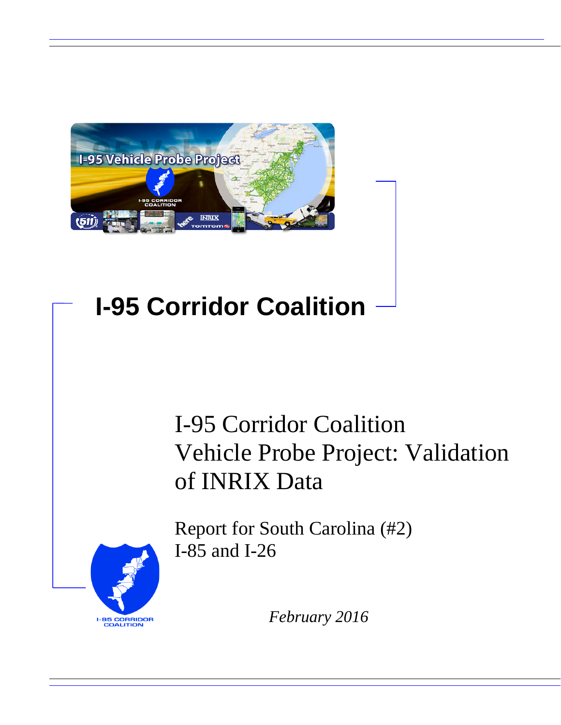

# **I-95 Corridor Coalition**

# I-95 Corridor Coalition Vehicle Probe Project: Validation of INRIX Data



Report for South Carolina (#2) I-85 and I-26

*February 2016*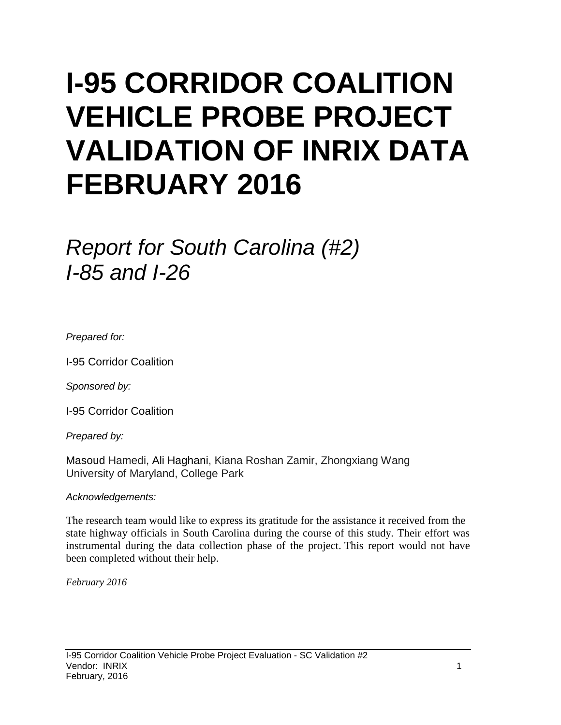# **I-95 CORRIDOR COALITION VEHICLE PROBE PROJECT VALIDATION OF INRIX DATA FEBRUARY 2016**

# *Report for South Carolina (#2) I-85 and I-26*

*Prepared for:*

I-95 Corridor Coalition

*Sponsored by:*

I-95 Corridor Coalition

*Prepared by:*

Masoud Hamedi, Ali Haghani, Kiana Roshan Zamir, Zhongxiang Wang University of Maryland, College Park

#### *Acknowledgements:*

The research team would like to express its gratitude for the assistance it received from the state highway officials in South Carolina during the course of this study. Their effort was instrumental during the data collection phase of the project. This report would not have been completed without their help.

*February 2016*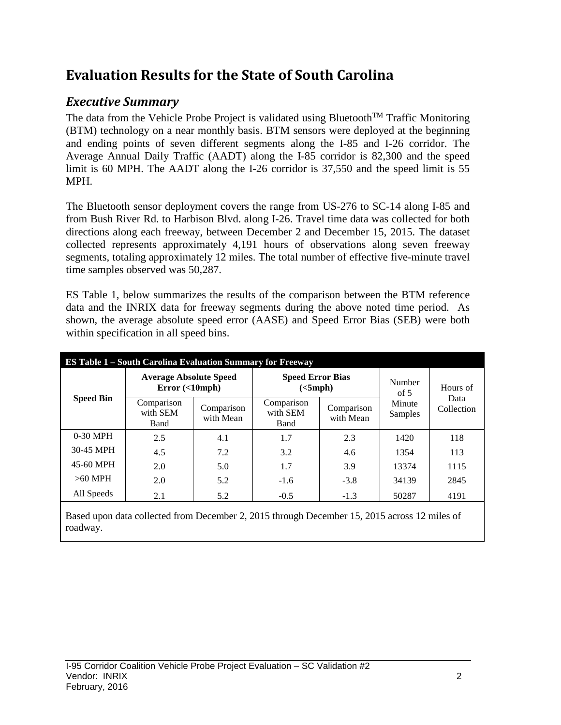## **Evaluation Results for the State of South Carolina**

## *Executive Summary*

The data from the Vehicle Probe Project is validated using Bluetooth<sup>TM</sup> Traffic Monitoring (BTM) technology on a near monthly basis. BTM sensors were deployed at the beginning and ending points of seven different segments along the I-85 and I-26 corridor. The Average Annual Daily Traffic (AADT) along the I-85 corridor is 82,300 and the speed limit is 60 MPH. The AADT along the I-26 corridor is 37,550 and the speed limit is 55 MPH.

The Bluetooth sensor deployment covers the range from US-276 to SC-14 along I-85 and from Bush River Rd. to Harbison Blvd. along I-26. Travel time data was collected for both directions along each freeway, between December 2 and December 15, 2015. The dataset collected represents approximately 4,191 hours of observations along seven freeway segments, totaling approximately 12 miles. The total number of effective five-minute travel time samples observed was 50,287.

ES Table 1, below summarizes the results of the comparison between the BTM reference data and the INRIX data for freeway segments during the above noted time period. As shown, the average absolute speed error (AASE) and Speed Error Bias (SEB) were both within specification in all speed bins.

| <b>ES Table 1 – South Carolina Evaluation Summary for Freeway</b> |                                            |                         |                                     |                         |                   |                                |  |  |  |
|-------------------------------------------------------------------|--------------------------------------------|-------------------------|-------------------------------------|-------------------------|-------------------|--------------------------------|--|--|--|
| <b>Speed Bin</b>                                                  | <b>Average Absolute Speed</b><br>Error(<10 |                         | <b>Speed Error Bias</b><br>(<5 mph) |                         | Number<br>of $5$  | Hours of<br>Data<br>Collection |  |  |  |
|                                                                   | Comparison<br>with SEM<br>Band             | Comparison<br>with Mean | Comparison<br>with SEM<br>Band      | Comparison<br>with Mean | Minute<br>Samples |                                |  |  |  |
| $0-30$ MPH                                                        | 2.5                                        | 4.1                     | 1.7                                 | 2.3                     | 1420              | 118                            |  |  |  |
| 30-45 MPH                                                         | 4.5                                        | 7.2                     | 3.2                                 | 4.6                     | 1354              | 113                            |  |  |  |
| 45-60 MPH                                                         | 2.0                                        | 5.0                     | 1.7                                 | 3.9                     | 13374             | 1115                           |  |  |  |
| $>60$ MPH                                                         | 2.0                                        | 5.2                     | $-1.6$                              | $-3.8$                  | 34139             | 2845                           |  |  |  |
| All Speeds                                                        | 2.1                                        | 5.2                     | $-0.5$                              | $-1.3$                  | 50287             | 4191                           |  |  |  |

Based upon data collected from December 2, 2015 through December 15, 2015 across 12 miles of roadway.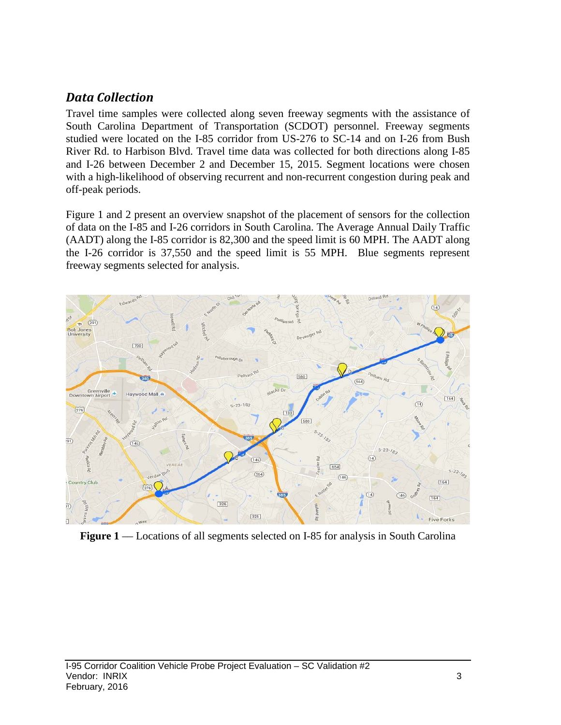### *Data Collection*

Travel time samples were collected along seven freeway segments with the assistance of South Carolina Department of Transportation (SCDOT) personnel. Freeway segments studied were located on the I-85 corridor from US-276 to SC-14 and on I-26 from Bush River Rd. to Harbison Blvd. Travel time data was collected for both directions along I-85 and I-26 between December 2 and December 15, 2015. Segment locations were chosen with a high-likelihood of observing recurrent and non-recurrent congestion during peak and off-peak periods.

Figure 1 and 2 present an overview snapshot of the placement of sensors for the collection of data on the I-85 and I-26 corridors in South Carolina. The Average Annual Daily Traffic (AADT) along the I-85 corridor is 82,300 and the speed limit is 60 MPH. The AADT along the I-26 corridor is 37,550 and the speed limit is 55 MPH. Blue segments represent freeway segments selected for analysis.



**Figure 1** — Locations of all segments selected on I-85 for analysis in South Carolina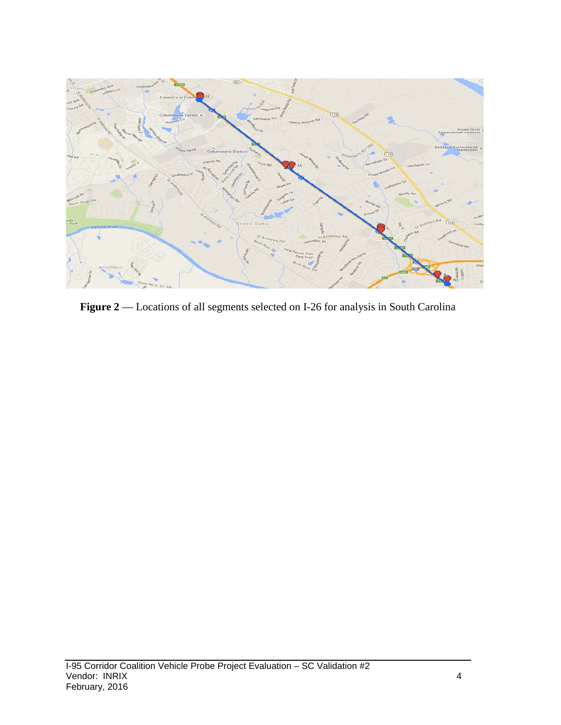

Figure 2 –– Locations of all segments selected on I-26 for analysis in South Carolina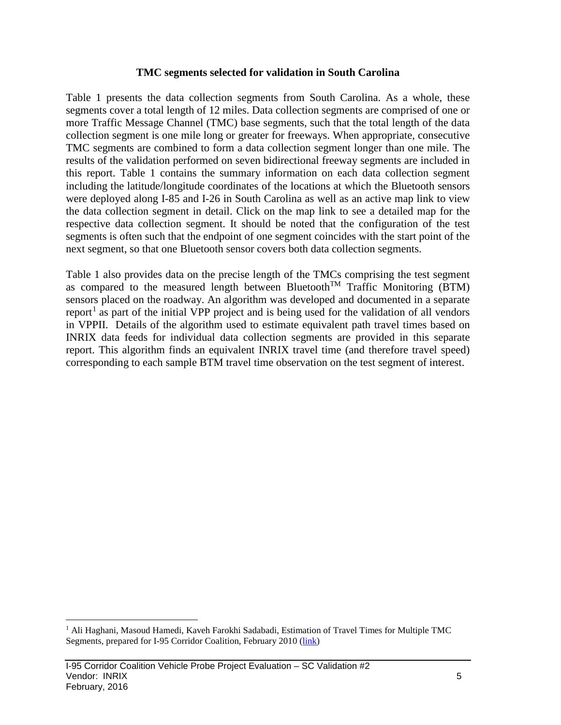#### **TMC segments selected for validation in South Carolina**

Table 1 presents the data collection segments from South Carolina. As a whole, these segments cover a total length of 12 miles. Data collection segments are comprised of one or more Traffic Message Channel (TMC) base segments, such that the total length of the data collection segment is one mile long or greater for freeways. When appropriate, consecutive TMC segments are combined to form a data collection segment longer than one mile. The results of the validation performed on seven bidirectional freeway segments are included in this report. Table 1 contains the summary information on each data collection segment including the latitude/longitude coordinates of the locations at which the Bluetooth sensors were deployed along I-85 and I-26 in South Carolina as well as an active map link to view the data collection segment in detail. Click on the map link to see a detailed map for the respective data collection segment. It should be noted that the configuration of the test segments is often such that the endpoint of one segment coincides with the start point of the next segment, so that one Bluetooth sensor covers both data collection segments.

Table 1 also provides data on the precise length of the TMCs comprising the test segment as compared to the measured length between Bluetooth<sup>TM</sup> Traffic Monitoring (BTM) sensors placed on the roadway. An algorithm was developed and documented in a separate report<sup>[1](#page-5-0)</sup> as part of the initial VPP project and is being used for the validation of all vendors in VPPII. Details of the algorithm used to estimate equivalent path travel times based on INRIX data feeds for individual data collection segments are provided in this separate report. This algorithm finds an equivalent INRIX travel time (and therefore travel speed) corresponding to each sample BTM travel time observation on the test segment of interest.

<span id="page-5-0"></span><sup>&</sup>lt;sup>1</sup> Ali Haghani, Masoud Hamedi, Kaveh Farokhi Sadabadi, Estimation of Travel Times for Multiple TMC Segments, prepared for I-95 Corridor Coalition, February 2010 [\(link\)](http://www.i95coalition.org/wp-content/uploads/2015/02/I-95-CC-Estimation-of-Travel-Times-for-Multiple-TMC-Segments-FINAL2.pdf)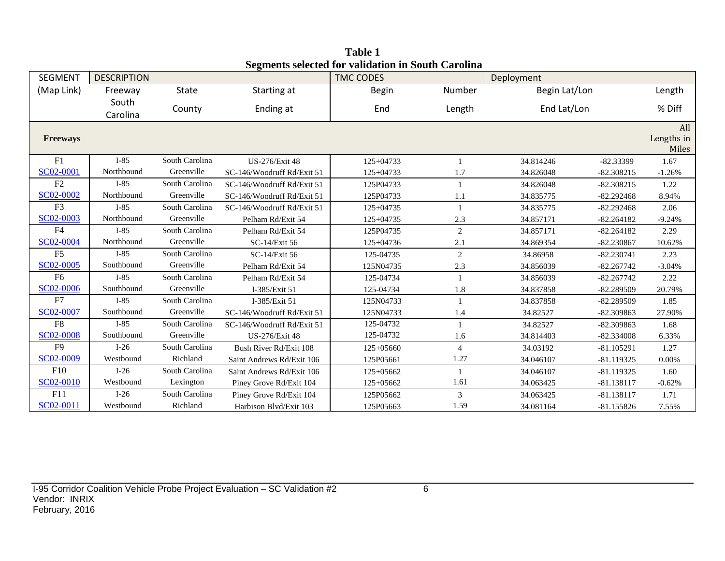| SEGMENT         | <b>DESCRIPTION</b> |                |                            | редисны эсксиса тог танаанон нгроат сагонна<br><b>TMC CODES</b> |                | Deployment    |              |                     |
|-----------------|--------------------|----------------|----------------------------|-----------------------------------------------------------------|----------------|---------------|--------------|---------------------|
| (Map Link)      | Freeway            | <b>State</b>   | Starting at                | <b>Begin</b>                                                    | Number         | Begin Lat/Lon |              | Length              |
|                 | South              |                |                            |                                                                 |                |               |              |                     |
|                 | Carolina           | County         | Ending at                  | End                                                             | Length         | End Lat/Lon   |              | % Diff              |
|                 |                    |                |                            |                                                                 |                |               |              | All                 |
| <b>Freeways</b> |                    |                |                            |                                                                 |                |               |              | Lengths in<br>Miles |
| F1              | $I-85$             | South Carolina | <b>US-276/Exit 48</b>      | 125+04733                                                       |                | 34.814246     | $-82.33399$  | 1.67                |
| SC02-0001       | Northbound         | Greenville     | SC-146/Woodruff Rd/Exit 51 | $125+04733$                                                     | 1.7            | 34.826048     | $-82.308215$ | $-1.26%$            |
| F2              | $I-85$             | South Carolina | SC-146/Woodruff Rd/Exit 51 | 125P04733                                                       |                | 34.826048     | $-82.308215$ | 1.22                |
| SC02-0002       | Northbound         | Greenville     | SC-146/Woodruff Rd/Exit 51 | 125P04733                                                       | 1.1            | 34.835775     | $-82.292468$ | 8.94%               |
| F <sub>3</sub>  | $I-85$             | South Carolina | SC-146/Woodruff Rd/Exit 51 | $125 + 04735$                                                   | 1              | 34.835775     | $-82.292468$ | 2.06                |
| SC02-0003       | Northbound         | Greenville     | Pelham Rd/Exit 54          | 125+04735                                                       | 2.3            | 34.857171     | $-82.264182$ | $-9.24%$            |
| F <sub>4</sub>  | $I-85$             | South Carolina | Pelham Rd/Exit 54          | 125P04735                                                       | 2              | 34.857171     | $-82.264182$ | 2.29                |
| SC02-0004       | Northbound         | Greenville     | SC-14/Exit 56              | $125+04736$                                                     | 2.1            | 34.869354     | $-82.230867$ | 10.62%              |
| F <sub>5</sub>  | $I-85$             | South Carolina | SC-14/Exit 56              | 125-04735                                                       | 2              | 34.86958      | $-82.230741$ | 2.23                |
| SC02-0005       | Southbound         | Greenville     | Pelham Rd/Exit 54          | 125N04735                                                       | 2.3            | 34.856039     | $-82.267742$ | $-3.04%$            |
| F <sub>6</sub>  | $I-85$             | South Carolina | Pelham Rd/Exit 54          | 125-04734                                                       | $\mathbf{1}$   | 34.856039     | $-82.267742$ | 2.22                |
| SC02-0006       | Southbound         | Greenville     | I-385/Exit 51              | 125-04734                                                       | 1.8            | 34.837858     | $-82.289509$ | 20.79%              |
| F7              | $I-85$             | South Carolina | I-385/Exit 51              | 125N04733                                                       | $\mathbf{1}$   | 34.837858     | $-82.289509$ | 1.85                |
| SC02-0007       | Southbound         | Greenville     | SC-146/Woodruff Rd/Exit 51 | 125N04733                                                       | 1.4            | 34.82527      | -82.309863   | 27.90%              |
| F <sub>8</sub>  | $I-85$             | South Carolina | SC-146/Woodruff Rd/Exit 51 | 125-04732                                                       | 1              | 34.82527      | -82.309863   | 1.68                |
| SC02-0008       | Southbound         | Greenville     | <b>US-276/Exit 48</b>      | 125-04732                                                       | 1.6            | 34.814403     | -82.334008   | 6.33%               |
| F <sub>9</sub>  | $I-26$             | South Carolina | Bush River Rd/Exit 108     | $125+05660$                                                     | $\overline{4}$ | 34.03192      | $-81.105291$ | 1.27                |
| SC02-0009       | Westbound          | Richland       | Saint Andrews Rd/Exit 106  | 125P05661                                                       | 1.27           | 34.046107     | $-81.119325$ | 0.00%               |
| F10             | $I-26$             | South Carolina | Saint Andrews Rd/Exit 106  | 125+05662                                                       | 1              | 34.046107     | $-81.119325$ | 1.60                |
| SC02-0010       | Westbound          | Lexington      | Piney Grove Rd/Exit 104    | 125+05662                                                       | 1.61           | 34.063425     | $-81.138117$ | $-0.62%$            |
| F11             | $I-26$             | South Carolina | Piney Grove Rd/Exit 104    | 125P05662                                                       | 3              | 34.063425     | $-81.138117$ | 1.71                |
| SC02-0011       | Westbound          | Richland       | Harbison Blvd/Exit 103     | 125P05663                                                       | 1.59           | 34.081164     | $-81.155826$ | 7.55%               |

**Table 1 Segments selected for validation in South Carolina**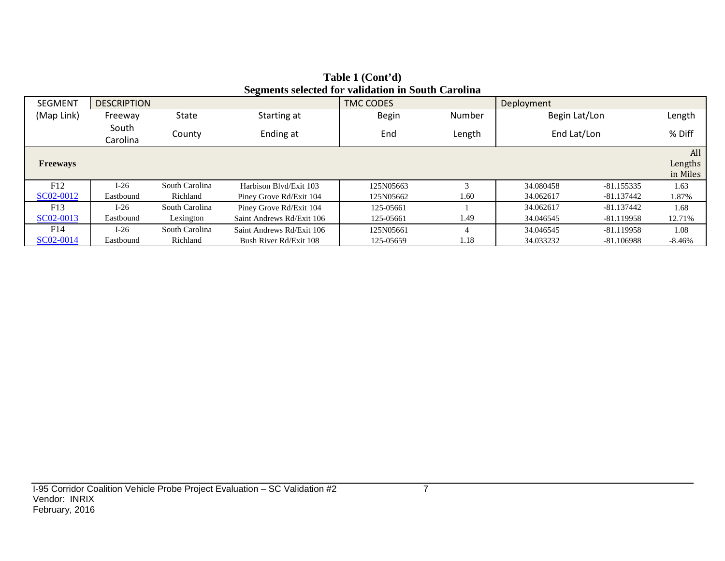| <b>SEGMENT</b>  | <b>DESCRIPTION</b> |                      | ~~ <del>~</del> ~~~~~~    | <b>TMC CODES</b> |        | Deployment    |              |                            |
|-----------------|--------------------|----------------------|---------------------------|------------------|--------|---------------|--------------|----------------------------|
| (Map Link)      | Freeway            | State<br>Starting at |                           | <b>Begin</b>     | Number | Begin Lat/Lon |              | Length                     |
|                 | South<br>Carolina  | County               | Ending at                 | End              | Length | End Lat/Lon   |              | % Diff                     |
| <b>Freeways</b> |                    |                      |                           |                  |        |               |              | All<br>Lengths<br>in Miles |
| F12             | $I-26$             | South Carolina       | Harbison Blvd/Exit 103    | 125N05663        | $\sim$ | 34.080458     | $-81.155335$ | 1.63                       |
| SC02-0012       | Eastbound          | Richland             | Piney Grove Rd/Exit 104   | 125N05662        | 1.60   | 34.062617     | -81.137442   | 1.87%                      |
| F13             | $I-26$             | South Carolina       | Piney Grove Rd/Exit 104   | 125-05661        |        | 34.062617     | $-81.137442$ | 1.68                       |
| SC02-0013       | Eastbound          | Lexington            | Saint Andrews Rd/Exit 106 | 125-05661        | 1.49   | 34.046545     | -81.119958   | 12.71%                     |
| F14             | $I-26$             | South Carolina       | Saint Andrews Rd/Exit 106 | 125N05661        | 4      | 34.046545     | $-81.119958$ | 1.08                       |
| SC02-0014       | Eastbound          | Richland             | Bush River Rd/Exit 108    | 125-05659        | 1.18   | 34.033232     | -81.106988   | -8.46%                     |

#### **Table 1 (Cont'd) Segments selected for validation in South Carolina**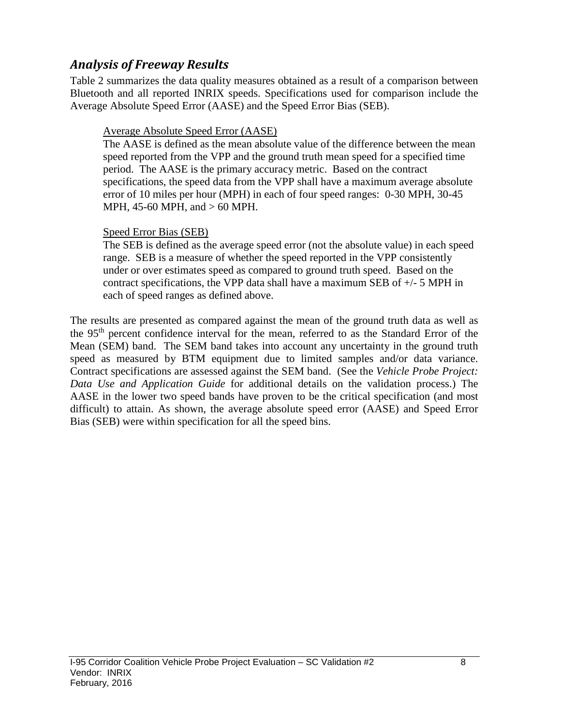### *Analysis of Freeway Results*

Table 2 summarizes the data quality measures obtained as a result of a comparison between Bluetooth and all reported INRIX speeds. Specifications used for comparison include the Average Absolute Speed Error (AASE) and the Speed Error Bias (SEB).

#### Average Absolute Speed Error (AASE)

The AASE is defined as the mean absolute value of the difference between the mean speed reported from the VPP and the ground truth mean speed for a specified time period. The AASE is the primary accuracy metric. Based on the contract specifications, the speed data from the VPP shall have a maximum average absolute error of 10 miles per hour (MPH) in each of four speed ranges: 0-30 MPH, 30-45 MPH, 45-60 MPH, and > 60 MPH.

#### Speed Error Bias (SEB)

The SEB is defined as the average speed error (not the absolute value) in each speed range. SEB is a measure of whether the speed reported in the VPP consistently under or over estimates speed as compared to ground truth speed. Based on the contract specifications, the VPP data shall have a maximum SEB of +/- 5 MPH in each of speed ranges as defined above.

The results are presented as compared against the mean of the ground truth data as well as the 95th percent confidence interval for the mean, referred to as the Standard Error of the Mean (SEM) band. The SEM band takes into account any uncertainty in the ground truth speed as measured by BTM equipment due to limited samples and/or data variance. Contract specifications are assessed against the SEM band. (See the *Vehicle Probe Project: Data Use and Application Guide* for additional details on the validation process.) The AASE in the lower two speed bands have proven to be the critical specification (and most difficult) to attain. As shown, the average absolute speed error (AASE) and Speed Error Bias (SEB) were within specification for all the speed bins.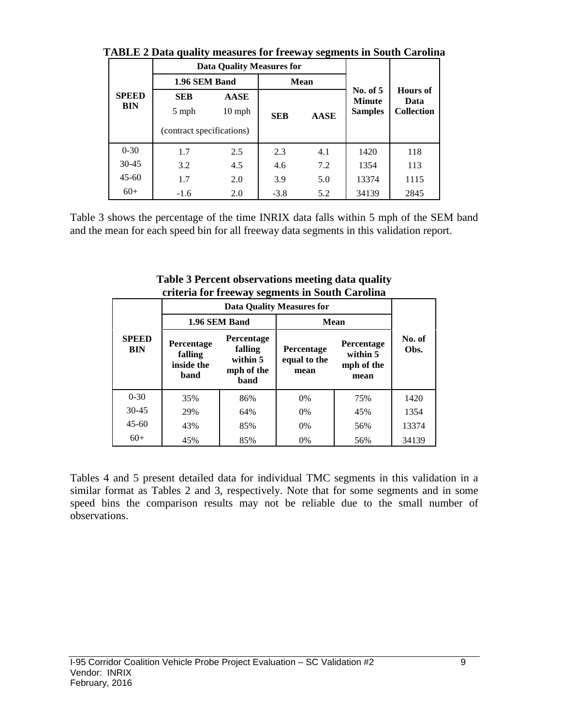|                            |                                                  | <b>Data Quality Measures for</b> |            |             |                                               |                           |  |
|----------------------------|--------------------------------------------------|----------------------------------|------------|-------------|-----------------------------------------------|---------------------------|--|
|                            | 1.96 SEM Band                                    |                                  |            | <b>Mean</b> |                                               | <b>Hours</b> of           |  |
| <b>SPEED</b><br><b>BIN</b> | <b>SEB</b><br>5 mph<br>(contract specifications) | <b>AASE</b><br>$10 \text{ mph}$  | <b>SEB</b> | <b>AASE</b> | No. of $5$<br><b>Minute</b><br><b>Samples</b> | Data<br><b>Collection</b> |  |
| $0 - 30$                   | 1.7                                              | 2.5                              | 2.3        | 4.1         | 1420                                          | 118                       |  |
| $30 - 45$                  | 3.2                                              | 4.5                              | 4.6        | 7.2         | 1354                                          | 113                       |  |
| $45 - 60$                  | 1.7                                              | 2.0                              | 3.9        | 5.0         | 13374                                         | 1115                      |  |
| $60+$                      | $-1.6$                                           | 2.0                              | $-3.8$     | 5.2         | 34139                                         | 2845                      |  |

**TABLE 2 Data quality measures for freeway segments in South Carolina**

Table 3 shows the percentage of the time INRIX data falls within 5 mph of the SEM band and the mean for each speed bin for all freeway data segments in this validation report.

|                            |                                             |                                                         | eriteria for freeway segments in South Carolina |                |       |
|----------------------------|---------------------------------------------|---------------------------------------------------------|-------------------------------------------------|----------------|-------|
|                            |                                             |                                                         | <b>Data Quality Measures for</b>                |                |       |
|                            |                                             | 1.96 SEM Band                                           | Mean                                            |                |       |
| <b>SPEED</b><br><b>BIN</b> | Percentage<br>falling<br>inside the<br>band | Percentage<br>falling<br>within 5<br>mph of the<br>band | Percentage<br>within 5<br>mph of the<br>mean    | No. of<br>Obs. |       |
| $0 - 30$                   | 35%                                         | 86%                                                     | $0\%$                                           | 75%            | 1420  |
| $30 - 45$                  | 29%                                         | 64%                                                     | $0\%$                                           | 45%            | 1354  |
| $45-60$                    | 43%                                         | 85%                                                     | 0%                                              | 56%            | 13374 |
| $60+$                      | 45%                                         | 85%                                                     | 0%                                              | 56%            | 34139 |

**Table 3 Percent observations meeting data quality criteria for freeway segments in South Carolina**

Tables 4 and 5 present detailed data for individual TMC segments in this validation in a similar format as Tables 2 and 3, respectively. Note that for some segments and in some speed bins the comparison results may not be reliable due to the small number of observations.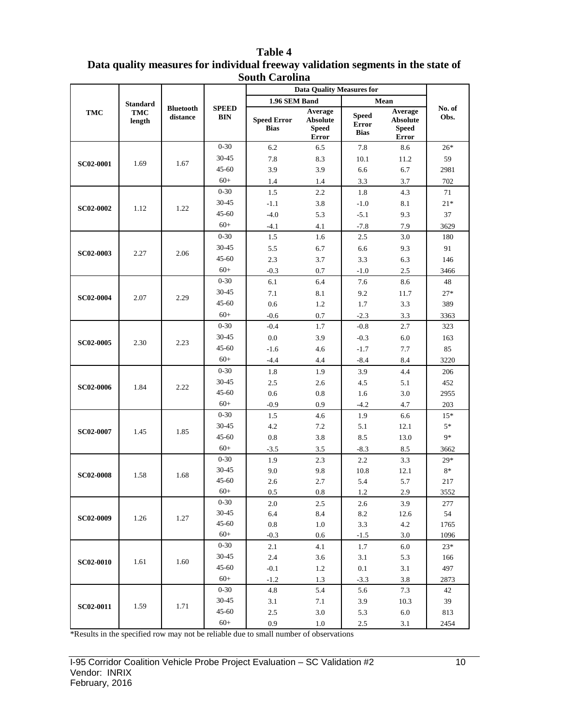|                  |                                         |                              | buum Carumia<br><b>Data Quality Measures for</b> |                                   |                                                     |                                             |                                                     |                |     |
|------------------|-----------------------------------------|------------------------------|--------------------------------------------------|-----------------------------------|-----------------------------------------------------|---------------------------------------------|-----------------------------------------------------|----------------|-----|
|                  |                                         |                              |                                                  | 1.96 SEM Band                     |                                                     |                                             | Mean                                                |                |     |
| <b>TMC</b>       | <b>Standard</b><br><b>TMC</b><br>length | <b>Bluetooth</b><br>distance | <b>SPEED</b><br><b>BIN</b>                       | <b>Speed Error</b><br><b>Bias</b> | Average<br><b>Absolute</b><br><b>Speed</b><br>Error | <b>Speed</b><br><b>Error</b><br><b>Bias</b> | Average<br><b>Absolute</b><br><b>Speed</b><br>Error | No. of<br>Obs. |     |
|                  |                                         |                              | $0 - 30$                                         | 6.2                               | 6.5                                                 | 7.8                                         | 8.6                                                 | $26*$          |     |
|                  |                                         |                              | 30-45                                            | 7.8                               | 8.3                                                 | 10.1                                        | 11.2                                                | 59             |     |
| <b>SC02-0001</b> | 1.69                                    | 1.67                         | $45 - 60$                                        | 3.9                               | 3.9                                                 | 6.6                                         | 6.7                                                 | 2981           |     |
|                  |                                         |                              | $60+$                                            | 1.4                               | 1.4                                                 | 3.3                                         | 3.7                                                 | 702            |     |
|                  |                                         |                              | $0 - 30$                                         | 1.5                               | 2.2                                                 | 1.8                                         | 4.3                                                 | 71             |     |
|                  |                                         |                              | $30 - 45$                                        | $-1.1$                            | 3.8                                                 | $-1.0$                                      | 8.1                                                 | $21*$          |     |
| <b>SC02-0002</b> | 1.12                                    | 1.22                         | $45 - 60$                                        | $-4.0$                            | 5.3                                                 | $-5.1$                                      | 9.3                                                 | 37             |     |
|                  |                                         |                              | $60+$                                            | $-4.1$                            | 4.1                                                 | $-7.8$                                      | 7.9                                                 | 3629           |     |
|                  |                                         |                              | $0 - 30$                                         | 1.5                               | 1.6                                                 | 2.5                                         | 3.0                                                 | 180            |     |
|                  |                                         |                              | $30 - 45$                                        | 5.5                               | 6.7                                                 | 6.6                                         | 9.3                                                 | 91             |     |
| <b>SC02-0003</b> | 2.27                                    | 2.06                         | $45 - 60$                                        | 2.3                               | 3.7                                                 | 3.3                                         | 6.3                                                 | 146            |     |
|                  |                                         |                              | $60+$                                            | $-0.3$                            | 0.7                                                 | $-1.0$                                      | 2.5                                                 | 3466           |     |
|                  |                                         |                              | $0 - 30$                                         | 6.1                               | 6.4                                                 | 7.6                                         | 8.6                                                 | 48             |     |
|                  |                                         |                              | 30-45                                            | 7.1                               | 8.1                                                 | 9.2                                         | 11.7                                                | $27*$          |     |
| SC02-0004        | 2.07                                    | 2.29                         | $45 - 60$                                        | 0.6                               | 1.2                                                 | 1.7                                         | 3.3                                                 | 389            |     |
|                  |                                         |                              | $60+$                                            | $-0.6$                            | 0.7                                                 | $-2.3$                                      | 3.3                                                 | 3363           |     |
|                  |                                         |                              | $0 - 30$                                         | $-0.4$                            | 1.7                                                 | $-0.8$                                      | 2.7                                                 | 323            |     |
|                  |                                         |                              | $30 - 45$                                        | 0.0                               | 3.9                                                 | $-0.3$                                      | 6.0                                                 | 163            |     |
| <b>SC02-0005</b> | 2.30                                    | 2.23                         | $45 - 60$                                        | $-1.6$                            | 4.6                                                 | $-1.7$                                      | 7.7                                                 | 85             |     |
|                  |                                         |                              | $60+$                                            | $-4.4$                            | 4.4                                                 | $-8.4$                                      | 8.4                                                 | 3220           |     |
|                  |                                         |                              |                                                  | $0 - 30$                          | 1.8                                                 | 1.9                                         | 3.9                                                 | 4.4            | 206 |
|                  |                                         |                              | $30 - 45$                                        | 2.5                               | 2.6                                                 | 4.5                                         | 5.1                                                 | 452            |     |
| <b>SC02-0006</b> | 1.84                                    | 2.22                         | $45 - 60$                                        | 0.6                               | 0.8                                                 | 1.6                                         | 3.0                                                 | 2955           |     |
|                  |                                         |                              | $60+$                                            | $-0.9$                            | 0.9                                                 | $-4.2$                                      | 4.7                                                 | 203            |     |
|                  |                                         |                              | $0 - 30$                                         | 1.5                               | 4.6                                                 | 1.9                                         | 6.6                                                 | $15*$          |     |
| <b>SC02-0007</b> |                                         |                              | $30 - 45$                                        | 4.2                               | 7.2                                                 | 5.1                                         | 12.1                                                | $5*$           |     |
|                  | 1.45                                    | 1.85                         | $45 - 60$                                        | 0.8                               | 3.8                                                 | 8.5                                         | 13.0                                                | 9*             |     |
|                  |                                         |                              | $60+$                                            | $-3.5$                            | 3.5                                                 | $-8.3$                                      | 8.5                                                 | 3662           |     |
|                  |                                         |                              | $0 - 30$                                         | 1.9                               | 2.3                                                 | 2.2                                         | 3.3                                                 | $29*$          |     |
| <b>SC02-0008</b> | 1.58                                    | 1.68                         | 30-45                                            | 9.0                               | 9.8                                                 | 10.8                                        | 12.1                                                | $8*$           |     |
|                  |                                         |                              | $45 - 60$                                        | 2.6                               | 2.7                                                 | 5.4                                         | 5.7                                                 | 217            |     |
|                  |                                         |                              | $60+$                                            | 0.5                               | $_{0.8}$                                            | 1.2                                         | 2.9                                                 | 3552           |     |
|                  |                                         |                              | $0 - 30$                                         | 2.0                               | 2.5                                                 | 2.6                                         | 3.9                                                 | 277            |     |
| <b>SC02-0009</b> | 1.26                                    | 1.27                         | $30 - 45$                                        | 6.4                               | 8.4                                                 | 8.2                                         | 12.6                                                | 54             |     |
|                  |                                         |                              | 45-60                                            | 0.8                               | 1.0                                                 | 3.3                                         | 4.2                                                 | 1765           |     |
|                  |                                         |                              | $60+$                                            | $-0.3$                            | 0.6                                                 | $-1.5$                                      | 3.0                                                 | 1096           |     |
|                  |                                         |                              | $0 - 30$                                         | 2.1                               | 4.1                                                 | 1.7                                         | 6.0                                                 | $23*$          |     |
| <b>SC02-0010</b> | 1.61                                    | 1.60                         | 30-45                                            | 2.4                               | 3.6                                                 | 3.1                                         | 5.3                                                 | 166            |     |
|                  |                                         |                              | 45-60<br>$60+$                                   | $-0.1$                            | 1.2                                                 | 0.1                                         | 3.1                                                 | 497            |     |
|                  |                                         |                              | $0 - 30$                                         | $-1.2$                            | 1.3                                                 | $-3.3$                                      | 3.8                                                 | 2873           |     |
|                  |                                         |                              | $30 - 45$                                        | 4.8                               | 5.4                                                 | 5.6                                         | 7.3                                                 | 42<br>39       |     |
| <b>SC02-0011</b> | 1.59                                    | 1.71                         | 45-60                                            | 3.1<br>2.5                        | 7.1<br>$3.0\,$                                      | 3.9<br>5.3                                  | 10.3<br>6.0                                         | 813            |     |
|                  |                                         |                              | $60+$                                            | 0.9                               | 1.0                                                 | 2.5                                         | 3.1                                                 | 2454           |     |
|                  |                                         |                              |                                                  |                                   |                                                     |                                             |                                                     |                |     |

#### **Table 4 Data quality measures for individual freeway validation segments in the state of South Carolina**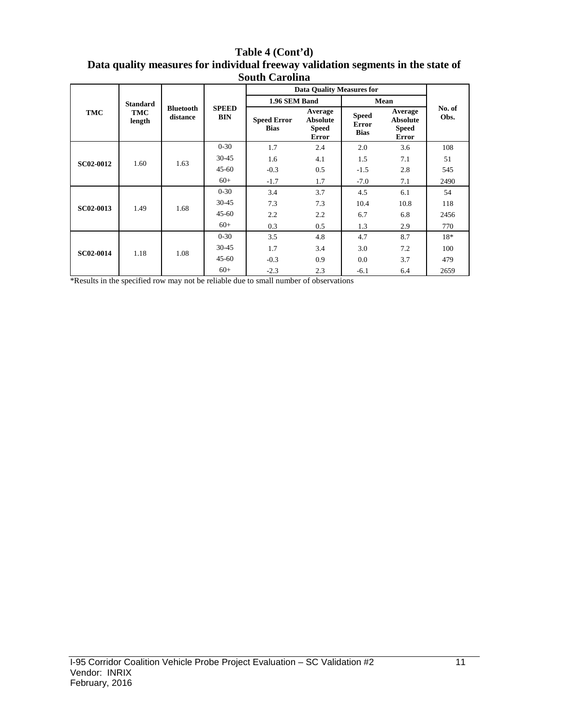#### **Table 4 (Cont'd) Data quality measures for individual freeway validation segments in the state of South Carolina**

|                  |                      |                              |                            | <b>Data Quality Measures for</b>  |                                                     |                                             |                                                            |                |
|------------------|----------------------|------------------------------|----------------------------|-----------------------------------|-----------------------------------------------------|---------------------------------------------|------------------------------------------------------------|----------------|
|                  | <b>Standard</b>      |                              |                            | 1.96 SEM Band                     |                                                     |                                             | Mean                                                       |                |
| TMC              | <b>TMC</b><br>length | <b>Bluetooth</b><br>distance | <b>SPEED</b><br><b>BIN</b> | <b>Speed Error</b><br><b>Bias</b> | Average<br><b>Absolute</b><br><b>Speed</b><br>Error | <b>Speed</b><br><b>Error</b><br><b>Bias</b> | Average<br><b>Absolute</b><br><b>Speed</b><br><b>Error</b> | No. of<br>Obs. |
|                  |                      |                              | $0 - 30$                   | 1.7                               | 2.4                                                 | 2.0                                         | 3.6                                                        | 108            |
| <b>SC02-0012</b> | 1.60                 | 1.63                         | $30 - 45$                  | 1.6                               | 4.1                                                 | 1.5                                         | 7.1                                                        | 51             |
|                  |                      |                              | $45 - 60$                  | $-0.3$                            | 0.5                                                 | $-1.5$                                      | 2.8                                                        | 545            |
|                  |                      |                              | $60+$                      | $-1.7$                            | 1.7                                                 | $-7.0$                                      | 7.1                                                        | 2490           |
|                  |                      | 1.68                         | $0 - 30$                   | 3.4                               | 3.7                                                 | 4.5                                         | 6.1                                                        | 54             |
| <b>SC02-0013</b> | 1.49                 |                              | $30 - 45$                  | 7.3                               | 7.3                                                 | 10.4                                        | 10.8                                                       | 118            |
|                  |                      |                              | $45 - 60$                  | 2.2                               | 2.2                                                 | 6.7                                         | 6.8                                                        | 2456           |
|                  |                      |                              | $60+$                      | 0.3                               | 0.5                                                 | 1.3                                         | 2.9                                                        | 770            |
|                  |                      |                              | $0 - 30$                   | 3.5                               | 4.8                                                 | 4.7                                         | 8.7                                                        | $18*$          |
| SC02-0014        | 1.18                 | 1.08                         | $30 - 45$                  | 1.7                               | 3.4                                                 | 3.0                                         | 7.2                                                        | 100            |
|                  |                      |                              | $45 - 60$                  | $-0.3$                            | 0.9                                                 | 0.0                                         | 3.7                                                        | 479            |
|                  |                      |                              | $60+$                      | $-2.3$                            | 2.3                                                 | $-6.1$                                      | 6.4                                                        | 2659           |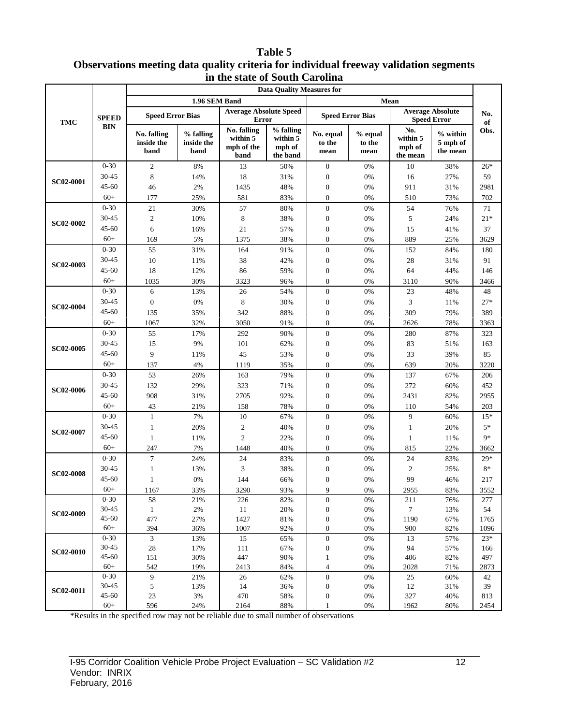#### **Table 5 Observations meeting data quality criteria for individual freeway validation segments in the state of South Carolina**

|                  |                   | <b>Data Quality Measures for</b>  |                                 |                                               |                                             |                                      |                           |                                       |                                               |            |  |
|------------------|-------------------|-----------------------------------|---------------------------------|-----------------------------------------------|---------------------------------------------|--------------------------------------|---------------------------|---------------------------------------|-----------------------------------------------|------------|--|
|                  |                   |                                   | 1.96 SEM Band                   |                                               |                                             |                                      |                           | Mean                                  |                                               |            |  |
| <b>TMC</b>       | <b>SPEED</b>      | <b>Speed Error Bias</b>           |                                 | <b>Average Absolute Speed</b><br><b>Error</b> |                                             | <b>Speed Error Bias</b>              |                           |                                       | <b>Average Absolute</b><br><b>Speed Error</b> | No.<br>of  |  |
|                  | <b>BIN</b>        | No. falling<br>inside the<br>band | % falling<br>inside the<br>band | No. falling<br>within 5<br>mph of the<br>band | % falling<br>within 5<br>mph of<br>the band | No. equal<br>to the<br>mean          | % equal<br>to the<br>mean | No.<br>within 5<br>mph of<br>the mean | $%$ within<br>5 mph of<br>the mean            | Obs.       |  |
|                  | $0 - 30$          | $\overline{2}$                    | 8%                              | 13                                            | 50%                                         | $\boldsymbol{0}$                     | 0%                        | 10                                    | 38%                                           | $26*$      |  |
| <b>SC02-0001</b> | 30-45             | 8                                 | 14%                             | 18                                            | 31%                                         | $\boldsymbol{0}$                     | 0%                        | 16                                    | 27%                                           | 59         |  |
|                  | $45 - 60$         | 46                                | 2%                              | 1435                                          | 48%                                         | $\boldsymbol{0}$                     | 0%                        | 911                                   | 31%                                           | 2981       |  |
|                  | $60+$             | 177                               | 25%                             | 581                                           | 83%                                         | $\boldsymbol{0}$                     | 0%                        | 510                                   | 73%                                           | 702        |  |
|                  | $0 - 30$          | 21                                | 30%                             | 57                                            | 80%                                         | $\boldsymbol{0}$                     | 0%                        | 54                                    | 76%                                           | 71         |  |
|                  | 30-45             | $\mathfrak{2}$                    | 10%                             | $\,$ 8 $\,$                                   | 38%                                         | $\boldsymbol{0}$                     | $0\%$                     | 5                                     | 24%                                           | $21*$      |  |
| <b>SC02-0002</b> | $45 - 60$         | 6                                 | 16%                             | 21                                            | 57%                                         | $\boldsymbol{0}$                     | $0\%$                     | 15                                    | 41%                                           | 37         |  |
|                  | $60+$             | 169                               | 5%                              | 1375                                          | 38%                                         | $\boldsymbol{0}$                     | 0%                        | 889                                   | 25%                                           | 3629       |  |
|                  | $0 - 30$          | 55                                | 31%                             | 164                                           | 91%                                         | $\boldsymbol{0}$                     | 0%                        | 152                                   | 84%                                           | 180        |  |
|                  | 30-45             | 10                                | 11%                             | 38                                            | 42%                                         | $\boldsymbol{0}$                     | 0%                        | 28                                    | 31%                                           | 91         |  |
| <b>SC02-0003</b> | $45 - 60$         | 18                                | 12%                             | 86                                            | 59%                                         | $\boldsymbol{0}$                     | 0%                        | 64                                    | 44%                                           | 146        |  |
|                  | $60+$             | 1035                              | 30%                             | 3323                                          | 96%                                         | $\boldsymbol{0}$                     | 0%                        | 3110                                  | 90%                                           | 3466       |  |
|                  | $0 - 30$          | 6                                 | 13%                             | 26                                            | 54%                                         | $\boldsymbol{0}$                     | 0%                        | 23                                    | 48%                                           | 48         |  |
| <b>SC02-0004</b> | 30-45             | $\mathbf{0}$                      | 0%                              | 8                                             | 30%                                         | $\boldsymbol{0}$                     | 0%                        | 3                                     | 11%                                           | $27*$      |  |
|                  | $45 - 60$         | 135                               | 35%                             | 342                                           | 88%                                         | $\boldsymbol{0}$                     | 0%                        | 309                                   | 79%                                           | 389        |  |
|                  | $60+$             | 1067                              | 32%                             | 3050                                          | 91%                                         | $\mathbf{0}$                         | 0%                        | 2626                                  | 78%                                           | 3363       |  |
|                  | $0 - 30$          | 55                                | 17%                             | 292                                           | 90%                                         | $\boldsymbol{0}$                     | 0%                        | 280                                   | 87%                                           | 323        |  |
|                  | 30-45             | 15                                | 9%                              | 101                                           | 62%                                         | $\boldsymbol{0}$                     | $0\%$                     | 83                                    | 51%                                           | 163        |  |
| <b>SC02-0005</b> | $45 - 60$         | 9                                 | 11%                             | 45                                            | 53%                                         | $\boldsymbol{0}$                     | $0\%$                     | 33                                    | 39%                                           | 85         |  |
|                  | $60+$             | 137                               | 4%                              | 1119                                          | 35%                                         | $\boldsymbol{0}$                     | 0%                        | 639                                   | 20%                                           | 3220       |  |
|                  | $0 - 30$          | 53                                | 26%                             | 163                                           | 79%                                         | $\boldsymbol{0}$                     | 0%                        | 137                                   | 67%                                           | 206        |  |
|                  | 30-45             | 132                               | 29%                             | 323                                           | 71%                                         | $\boldsymbol{0}$                     | 0%                        | 272                                   | 60%                                           | 452        |  |
| <b>SC02-0006</b> | $45 - 60$         | 908                               | 31%                             | 2705                                          | 92%                                         | $\boldsymbol{0}$                     | 0%                        | 2431                                  | 82%                                           | 2955       |  |
|                  | $60+$             | 43                                | 21%                             | 158                                           | 78%                                         | $\boldsymbol{0}$                     | 0%                        | 110                                   | 54%                                           | 203        |  |
|                  | $0 - 30$          | $\mathbf{1}$                      | 7%                              | 10                                            | 67%                                         | $\boldsymbol{0}$                     | 0%                        | 9                                     | 60%                                           | $15*$      |  |
|                  | 30-45             |                                   |                                 |                                               |                                             |                                      |                           |                                       |                                               | $5*$       |  |
| <b>SC02-0007</b> | $45 - 60$         | 1                                 | 20%                             | $\boldsymbol{2}$                              | 40%                                         | $\boldsymbol{0}$                     | $0\%$                     | 1                                     | 20%                                           |            |  |
|                  |                   | $\mathbf{1}$                      | 11%                             | $\overline{c}$                                | 22%                                         | $\boldsymbol{0}$                     | $0\%$                     | 1                                     | 11%                                           | $9*$       |  |
|                  | $60+$             | 247                               | 7%                              | 1448                                          | 40%                                         | $\boldsymbol{0}$                     | 0%                        | 815                                   | 22%                                           | 3662       |  |
|                  | $0 - 30$          | $\tau$                            | 24%                             | 24                                            | 83%                                         | $\boldsymbol{0}$                     | 0%                        | 24                                    | 83%                                           | $29*$      |  |
| <b>SC02-0008</b> | 30-45             | 1                                 | 13%                             | 3                                             | 38%                                         | $\boldsymbol{0}$                     | 0%                        | $\mathfrak{2}$                        | 25%                                           | $8*$       |  |
|                  | $45 - 60$         | 1                                 | 0%                              | 144                                           | 66%                                         | 0                                    | 0%                        | 99                                    | 46%                                           | 217        |  |
|                  | $60+$             | 1167                              | 33%                             | 3290                                          | 93%                                         | Q                                    | $0\%$                     | 2955                                  | 83%                                           | 3552       |  |
|                  | $0 - 30$<br>30-45 | 58                                | 21%                             | 226                                           | 82%                                         | $\boldsymbol{0}$                     | $0\%$                     | 211                                   | 76%                                           | 277        |  |
| <b>SC02-0009</b> | 45-60             | $\mathbf{1}$<br>477               | $2\%$<br>27%                    | 11<br>1427                                    | 20%<br>81%                                  | $\boldsymbol{0}$<br>$\boldsymbol{0}$ | $0\%$<br>$0\%$            | $\tau$<br>1190                        | 13%<br>67%                                    | 54<br>1765 |  |
|                  | $60+$             | 394                               | 36%                             | 1007                                          | 92%                                         | $\boldsymbol{0}$                     | $0\%$                     | 900                                   | 82%                                           | 1096       |  |
|                  | $0 - 30$          | $\mathbf{3}$                      | 13%                             | 15                                            | 65%                                         | $\boldsymbol{0}$                     | $0\%$                     | 13                                    | 57%                                           | $23*$      |  |
|                  | 30-45             | $28\,$                            | 17%                             | 111                                           | 67%                                         | $\boldsymbol{0}$                     | $0\%$                     | 94                                    | 57%                                           | 166        |  |
| <b>SC02-0010</b> | 45-60             | 151                               | 30%                             | 447                                           | 90%                                         | $\mathbf{1}$                         | $0\%$                     | 406                                   | 82%                                           | 497        |  |
|                  | $60+$             | 542                               | 19%                             | 2413                                          | 84%                                         | 4                                    | 0%                        | 2028                                  | 71%                                           | 2873       |  |
|                  | $0 - 30$          | 9                                 | 21%                             | 26                                            | 62%                                         | $\boldsymbol{0}$                     | $0\%$                     | 25                                    | 60%                                           | 42         |  |
|                  | 30-45             | 5                                 | 13%                             | 14                                            | 36%                                         | $\boldsymbol{0}$                     | $0\%$                     | 12                                    | 31%                                           | 39         |  |
| SC02-0011        | 45-60             | $23\,$                            | $3\%$                           | 470                                           | 58%                                         | $\boldsymbol{0}$                     | $0\%$                     | 327                                   | 40%                                           | 813        |  |
|                  | $60+$             | 596                               | 24%                             | 2164                                          | 88%                                         | $\mathbf{1}$                         | 0%                        | 1962                                  | 80%                                           | 2454       |  |